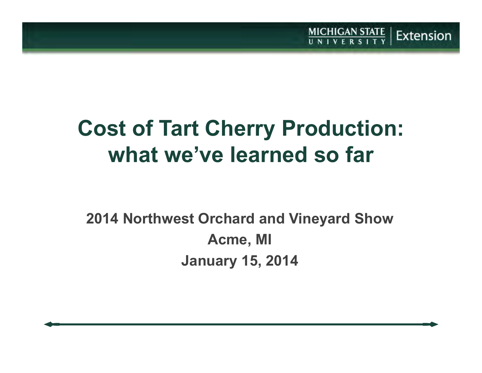# **Cost of Tart Cherry Production:what we've learned so far**

 $MICHIGAN STATE   
U N IV E R S IT Y$ 

Extension

### **2014 Northwest Orchard and Vineyard ShowAcme, MIJanuary 15, 2014**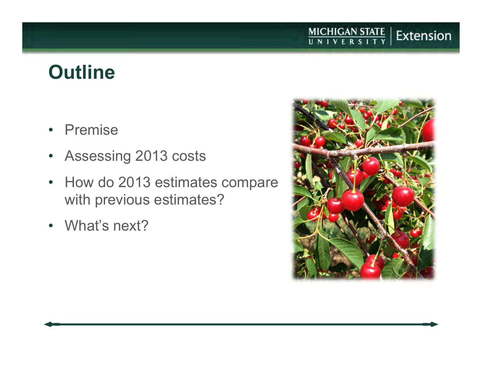### **Outline**

- Premise
- Assessing 2013 costs
- How do 2013 estimates compare with previous estimates?
- What's next?



MICHIGAN STATE | Extension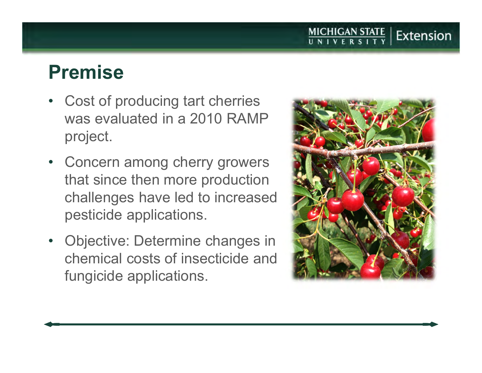### **Premise**

- • Cost of producing tart cherries was evaluated in a 2010 RAMP project.
- Concern among cherry growers that since then more production challenges have led to increased pesticide applications.
- • Objective: Determine changes in chemical costs of insecticide and fungicide applications.



**MICHIGAN STATE**<br>UNIVERSITY

Extension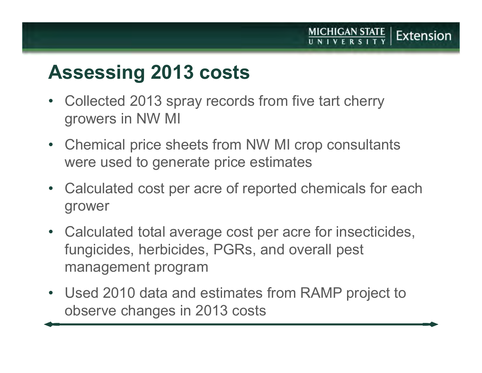### **Assessing <sup>2013</sup> costs**

- $\bullet$  Collected 2013 spray records from five tart cherry growers in NW MI
- Chemical price sheets from NW MI crop consultants were used to generate price estimates
- Calculated cost per acre of reported chemicals for each grower
- Calculated total average cost per acre for insecticides, fungicides, herbicides, PGRs, and overall pest management program
- Used 2010 data and estimates from RAMP project to observe changes in 2013 costs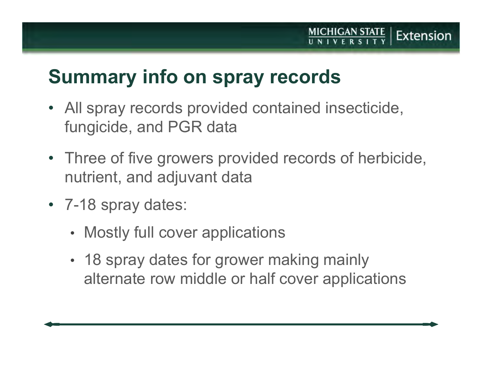### **Summary info on spray records**

- All spray records provided contained insecticide, fungicide, and PGR data
- Three of five growers provided records of herbicide, nutrient, and adjuvant data

**MICHIGAN STATE** 

Extension

- 7-18 spray dates:
	- •• Mostly full cover applications
	- • 18 spray dates for grower making mainly alternate row middle or half cover applications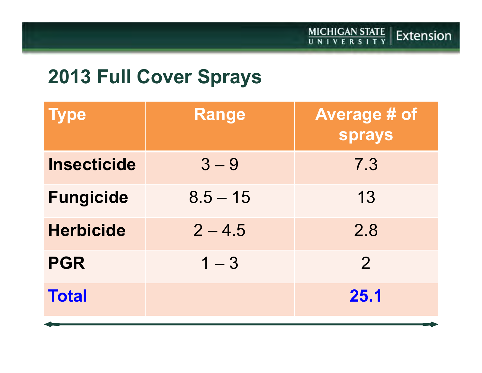### **2013 Full Cover Sprays**

| <b>Type</b>        | <b>Range</b> | Average # of<br><b>sprays</b> |
|--------------------|--------------|-------------------------------|
| <b>Insecticide</b> | $3 - 9$      | 7.3                           |
| <b>Fungicide</b>   | $8.5 - 15$   | 13                            |
| <b>Herbicide</b>   | $2 - 4.5$    | 2.8                           |
| <b>PGR</b>         | $1 - 3$      | $\overline{2}$                |
| <b>Total</b>       |              | <b>25.1</b>                   |
|                    |              |                               |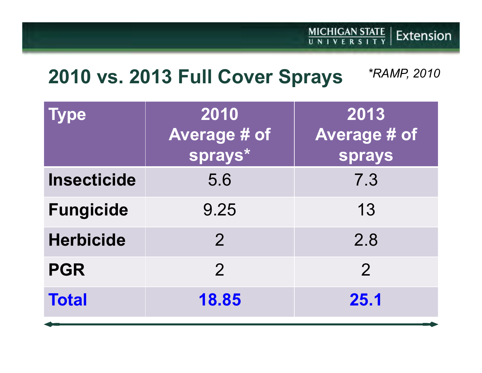### MICHIGAN STATE | Extension

#### **2010 vs. 2013 Full Cover Sprays***\*RAMP, 2010*

| ype                | 2010<br><b>Average # of</b><br>sprays* | 2013<br><b>Average # of</b><br><b>sprays</b> |
|--------------------|----------------------------------------|----------------------------------------------|
| <b>Insecticide</b> | 5.6                                    | 7.3                                          |
| <b>Fungicide</b>   | 9.25                                   | 13                                           |
| <b>Herbicide</b>   | $\overline{2}$                         | 2.8                                          |
| <b>PGR</b>         | $\overline{2}$                         | $\overline{2}$                               |
| <b>Total</b>       | 18.85                                  | <b>25.1</b>                                  |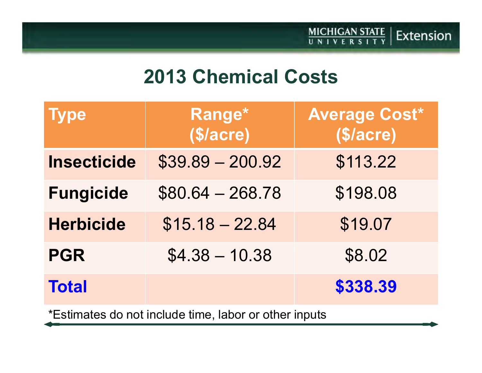### **2013 Chemical Costs**

MICHIGAN STATE | Extension

| <b>Type</b>        | Range*<br>\$/acre) | <b>Average Cost*</b><br>\$/acre) |
|--------------------|--------------------|----------------------------------|
| <b>Insecticide</b> | $$39.89 - 200.92$  | \$113.22                         |
| <b>Fungicide</b>   | $$80.64 - 268.78$  | \$198.08                         |
| <b>Herbicide</b>   | $$15.18 - 22.84$   | \$19.07                          |
| <b>PGR</b>         | $$4.38 - 10.38$    | \$8.02                           |
| <b>Total</b>       |                    | \$338.39                         |
|                    |                    |                                  |

\*Estimates do not include time, labor or other inputs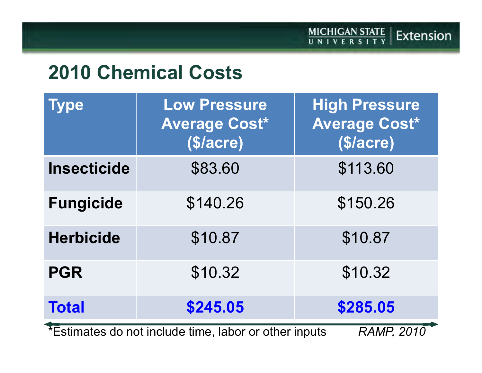### MICHIGAN STATE | Extension

### **2010 Chemical Costs**

| <b>Type</b>                                           | <b>Low Pressure</b><br>Average Cost*<br>\$/acre) | <b>High Pressure</b><br><b>Average Cost*</b><br>\$/acre) |
|-------------------------------------------------------|--------------------------------------------------|----------------------------------------------------------|
| <b>Insecticide</b>                                    | \$83.60                                          | \$113.60                                                 |
| <b>Fungicide</b>                                      | \$140.26                                         | \$150.26                                                 |
| <b>Herbicide</b>                                      | \$10.87                                          | \$10.87                                                  |
| <b>PGR</b>                                            | \$10.32                                          | \$10.32                                                  |
| <b>Total</b>                                          | \$245.05                                         | \$285.05                                                 |
| *Estimates do not include time, labor or other inputs |                                                  | <b>RAMP, 2010</b>                                        |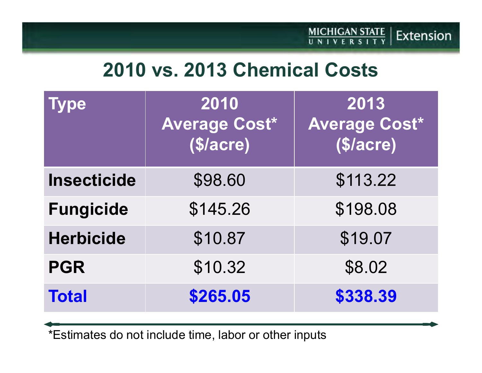### **2010 vs. 2013 Chemical Costs**

| <b>Type</b>        | 2010<br><b>Average Cost*</b><br>\$/acre) | 2013<br><b>Average Cost*</b><br>\$/acre) |
|--------------------|------------------------------------------|------------------------------------------|
| <b>Insecticide</b> | \$98.60                                  | \$113.22                                 |
| <b>Fungicide</b>   | \$145.26                                 | \$198.08                                 |
| <b>Herbicide</b>   | \$10.87                                  | \$19.07                                  |
| <b>PGR</b>         | \$10.32                                  | \$8.02                                   |
| <b>Total</b>       | \$265.05                                 | \$338.39                                 |

\*Estimates do not include time, labor or other inputs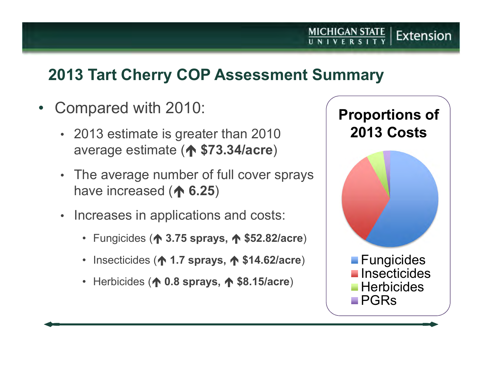### **2013 Tart Cherry COP Assessment Summary**

- Compared with 2010:
	- 2013 estimate is greater than 2010 average estimate (**个 \$73.34/acre**)
	- The average number of full cover sprays have increased (**个 6.25**)
	- Increases in applications and costs:
		- Fungicides ( **3.75 sprays, \$52.82/acre**)
		- Insecticides ( **1.7 sprays, \$14.62/acre**)
		- Herbicides ( **0.8 sprays, \$8.15/acre**)



Extension

 $MICHIGAN STATE   
U N I V E R S I T Y$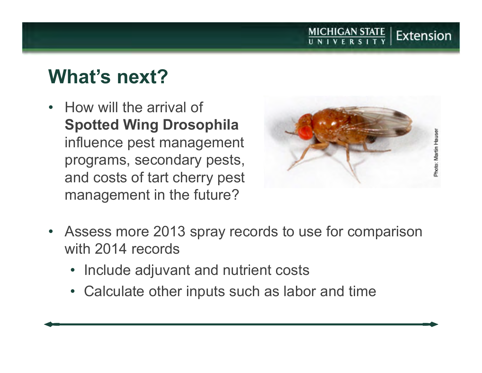## **What's next?**

• How will the arrival of **Spotted Wing Drosophila** influence pest management programs, secondary pests, and costs of tart cherry pest management in the future?



MICHIGAN STATE

Extension

- $\bullet$  Assess more 2013 spray records to use for comparison with 2014 records
	- Include adjuvant and nutrient costs
	- Calculate other inputs such as labor and time